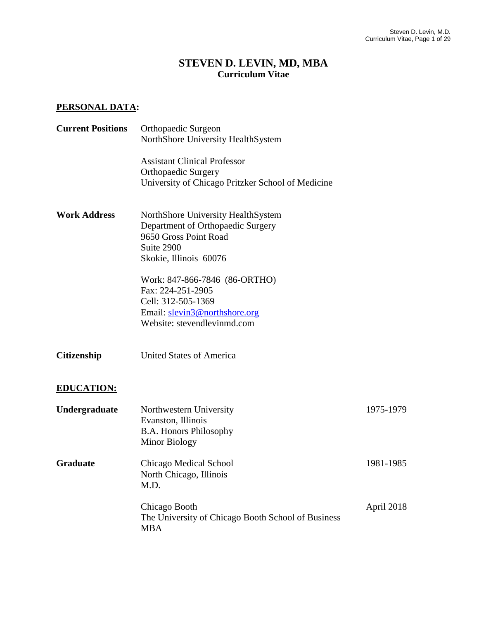## **STEVEN D. LEVIN, MD, MBA Curriculum Vitae**

## **PERSONAL DATA:**

| <b>Current Positions</b> | Orthopaedic Surgeon<br>NorthShore University HealthSystem                                              |            |
|--------------------------|--------------------------------------------------------------------------------------------------------|------------|
|                          | <b>Assistant Clinical Professor</b>                                                                    |            |
|                          | <b>Orthopaedic Surgery</b><br>University of Chicago Pritzker School of Medicine                        |            |
| <b>Work Address</b>      | NorthShore University HealthSystem<br>Department of Orthopaedic Surgery                                |            |
|                          | 9650 Gross Point Road<br>Suite 2900<br>Skokie, Illinois 60076                                          |            |
|                          | Work: 847-866-7846 (86-ORTHO)<br>Fax: 224-251-2905<br>Cell: 312-505-1369                               |            |
|                          | Email: slevin3@northshore.org<br>Website: stevendlevinmd.com                                           |            |
| <b>Citizenship</b>       | <b>United States of America</b>                                                                        |            |
| <b>EDUCATION:</b>        |                                                                                                        |            |
| Undergraduate            | Northwestern University<br>Evanston, Illinois<br><b>B.A. Honors Philosophy</b><br><b>Minor Biology</b> | 1975-1979  |
| <b>Graduate</b>          | Chicago Medical School<br>North Chicago, Illinois<br>M.D.                                              | 1981-1985  |
|                          | Chicago Booth<br>The University of Chicago Booth School of Business<br><b>MBA</b>                      | April 2018 |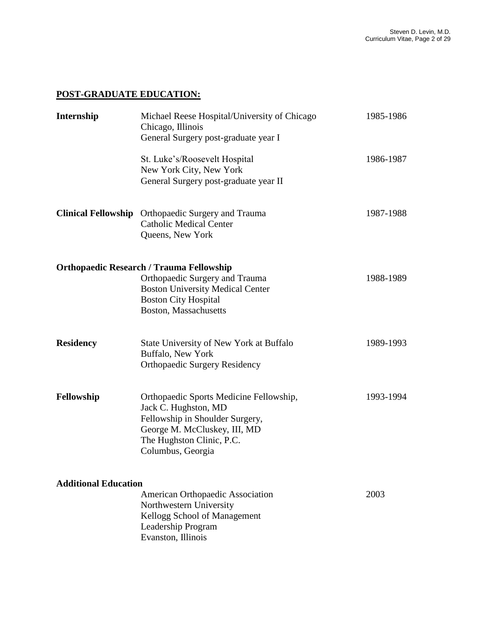## **POST-GRADUATE EDUCATION:**

| Internship                  | Michael Reese Hospital/University of Chicago<br>Chicago, Illinois<br>General Surgery post-graduate year I                                                                            | 1985-1986 |
|-----------------------------|--------------------------------------------------------------------------------------------------------------------------------------------------------------------------------------|-----------|
|                             | St. Luke's/Roosevelt Hospital<br>New York City, New York<br>General Surgery post-graduate year II                                                                                    | 1986-1987 |
|                             | Clinical Fellowship Orthopaedic Surgery and Trauma<br><b>Catholic Medical Center</b><br>Queens, New York                                                                             | 1987-1988 |
|                             | <b>Orthopaedic Research / Trauma Fellowship</b><br>Orthopaedic Surgery and Trauma<br><b>Boston University Medical Center</b><br><b>Boston City Hospital</b><br>Boston, Massachusetts | 1988-1989 |
| <b>Residency</b>            | State University of New York at Buffalo<br>Buffalo, New York<br><b>Orthopaedic Surgery Residency</b>                                                                                 | 1989-1993 |
| Fellowship                  | Orthopaedic Sports Medicine Fellowship,<br>Jack C. Hughston, MD<br>Fellowship in Shoulder Surgery,<br>George M. McCluskey, III, MD<br>The Hughston Clinic, P.C.<br>Columbus, Georgia | 1993-1994 |
| <b>Additional Education</b> | American Orthopaedic Association<br>Northwestern University<br>Kellogg School of Management<br>Leadership Program<br>Evanston, Illinois                                              | 2003      |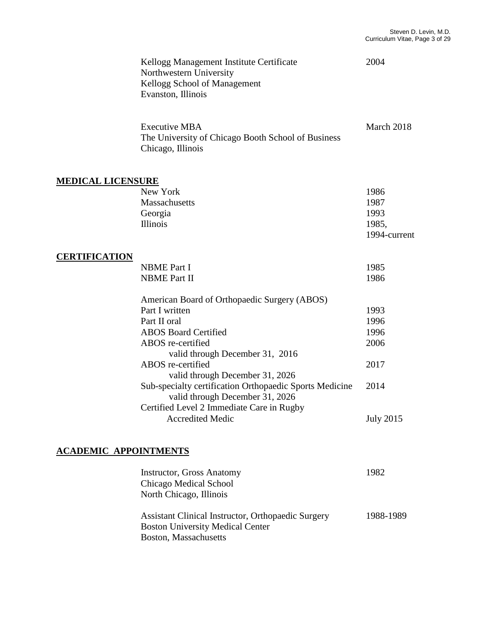|                              | Kellogg Management Institute Certificate<br>Northwestern University<br>Kellogg School of Management<br>Evanston, Illinois | 2004             |
|------------------------------|---------------------------------------------------------------------------------------------------------------------------|------------------|
|                              | <b>Executive MBA</b><br>The University of Chicago Booth School of Business<br>Chicago, Illinois                           | March 2018       |
| <b>MEDICAL LICENSURE</b>     |                                                                                                                           |                  |
|                              | New York                                                                                                                  | 1986             |
|                              | Massachusetts                                                                                                             | 1987             |
|                              | Georgia                                                                                                                   | 1993             |
|                              | Illinois                                                                                                                  | 1985,            |
|                              |                                                                                                                           | 1994-current     |
| <b>CERTIFICATION</b>         |                                                                                                                           |                  |
|                              | <b>NBME</b> Part I                                                                                                        | 1985             |
|                              | <b>NBME Part II</b>                                                                                                       | 1986             |
|                              | American Board of Orthopaedic Surgery (ABOS)                                                                              |                  |
|                              | Part I written                                                                                                            | 1993             |
|                              | Part II oral                                                                                                              | 1996             |
|                              | <b>ABOS Board Certified</b>                                                                                               | 1996             |
|                              | ABOS re-certified                                                                                                         | 2006             |
|                              | valid through December 31, 2016                                                                                           |                  |
|                              | ABOS re-certified                                                                                                         | 2017             |
|                              | valid through December 31, 2026                                                                                           |                  |
|                              | Sub-specialty certification Orthopaedic Sports Medicine<br>valid through December 31, 2026                                | 2014             |
|                              | Certified Level 2 Immediate Care in Rugby<br><b>Accredited Medic</b>                                                      | <b>July 2015</b> |
| <b>ACADEMIC APPOINTMENTS</b> |                                                                                                                           |                  |
|                              | Instructor Gross Anatomy                                                                                                  | 1082             |

| <b>Instructor, Gross Anatomy</b>                   | 1982      |
|----------------------------------------------------|-----------|
| Chicago Medical School                             |           |
| North Chicago, Illinois                            |           |
| Assistant Clinical Instructor, Orthopaedic Surgery | 1988-1989 |
| <b>Boston University Medical Center</b>            |           |
| Boston, Massachusetts                              |           |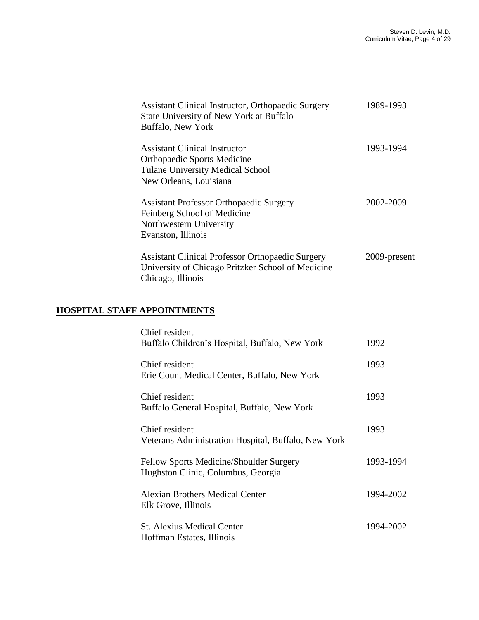| Assistant Clinical Instructor, Orthopaedic Surgery<br>State University of New York at Buffalo | 1989-1993    |
|-----------------------------------------------------------------------------------------------|--------------|
| Buffalo, New York                                                                             |              |
| <b>Assistant Clinical Instructor</b>                                                          | 1993-1994    |
| <b>Orthopaedic Sports Medicine</b>                                                            |              |
| <b>Tulane University Medical School</b>                                                       |              |
| New Orleans, Louisiana                                                                        |              |
| <b>Assistant Professor Orthopaedic Surgery</b>                                                | 2002-2009    |
| Feinberg School of Medicine                                                                   |              |
| Northwestern University                                                                       |              |
| Evanston, Illinois                                                                            |              |
| <b>Assistant Clinical Professor Orthopaedic Surgery</b>                                       | 2009-present |
| University of Chicago Pritzker School of Medicine                                             |              |
| Chicago, Illinois                                                                             |              |
|                                                                                               |              |

## **HOSPITAL STAFF APPOINTMENTS**

| Chief resident                                      |           |
|-----------------------------------------------------|-----------|
| Buffalo Children's Hospital, Buffalo, New York      | 1992      |
| Chief resident                                      | 1993      |
| Erie Count Medical Center, Buffalo, New York        |           |
| Chief resident                                      | 1993      |
| Buffalo General Hospital, Buffalo, New York         |           |
| Chief resident                                      | 1993      |
| Veterans Administration Hospital, Buffalo, New York |           |
| Fellow Sports Medicine/Shoulder Surgery             | 1993-1994 |
| Hughston Clinic, Columbus, Georgia                  |           |
| <b>Alexian Brothers Medical Center</b>              | 1994-2002 |
| Elk Grove, Illinois                                 |           |
| <b>St. Alexius Medical Center</b>                   | 1994-2002 |
| Hoffman Estates, Illinois                           |           |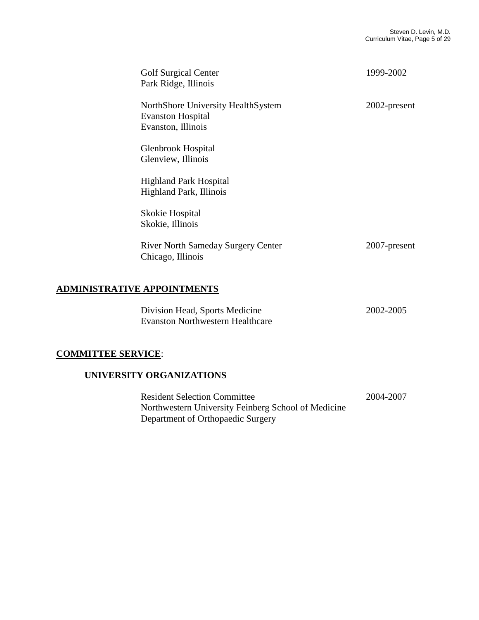| <b>Golf Surgical Center</b><br>Park Ridge, Illinois                                  | 1999-2002    |
|--------------------------------------------------------------------------------------|--------------|
| NorthShore University HealthSystem<br><b>Evanston Hospital</b><br>Evanston, Illinois | 2002-present |
| Glenbrook Hospital<br>Glenview, Illinois                                             |              |
| <b>Highland Park Hospital</b><br>Highland Park, Illinois                             |              |
| Skokie Hospital<br>Skokie, Illinois                                                  |              |
| <b>River North Sameday Surgery Center</b><br>Chicago, Illinois                       | 2007-present |

## **ADMINISTRATIVE APPOINTMENTS**

| Division Head, Sports Medicine          | 2002-2005 |
|-----------------------------------------|-----------|
| <b>Evanston Northwestern Healthcare</b> |           |

### **COMMITTEE SERVICE**:

#### **UNIVERSITY ORGANIZATIONS**

**Resident Selection Committee 2004-2007**  Northwestern University Feinberg School of Medicine Department of Orthopaedic Surgery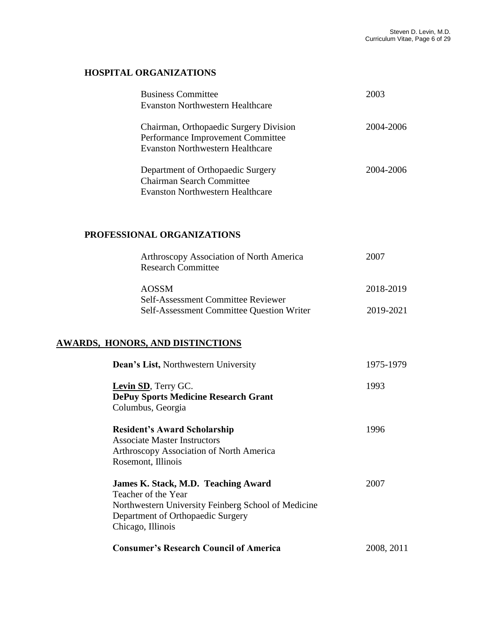## **HOSPITAL ORGANIZATIONS**

| <b>Business Committee</b><br>Evanston Northwestern Healthcare                                                          | 2003      |
|------------------------------------------------------------------------------------------------------------------------|-----------|
| Chairman, Orthopaedic Surgery Division<br>Performance Improvement Committee<br><b>Evanston Northwestern Healthcare</b> | 2004-2006 |
| Department of Orthopaedic Surgery<br><b>Chairman Search Committee</b><br><b>Evanston Northwestern Healthcare</b>       | 2004-2006 |

#### **PROFESSIONAL ORGANIZATIONS**

| Arthroscopy Association of North America<br><b>Research Committee</b> | 2007      |
|-----------------------------------------------------------------------|-----------|
| <b>AOSSM</b><br>Self-Assessment Committee Reviewer                    | 2018-2019 |
| <b>Self-Assessment Committee Question Writer</b>                      | 2019-2021 |

## **AWARDS, HONORS, AND DISTINCTIONS**

| Dean's List, Northwestern University                | 1975-1979  |
|-----------------------------------------------------|------------|
| Levin SD, Terry GC.                                 | 1993       |
| <b>DePuy Sports Medicine Research Grant</b>         |            |
| Columbus, Georgia                                   |            |
| <b>Resident's Award Scholarship</b>                 | 1996       |
| <b>Associate Master Instructors</b>                 |            |
| <b>Arthroscopy Association of North America</b>     |            |
| Rosemont, Illinois                                  |            |
| James K. Stack, M.D. Teaching Award                 | 2007       |
| Teacher of the Year                                 |            |
| Northwestern University Feinberg School of Medicine |            |
| Department of Orthopaedic Surgery                   |            |
| Chicago, Illinois                                   |            |
| <b>Consumer's Research Council of America</b>       | 2008, 2011 |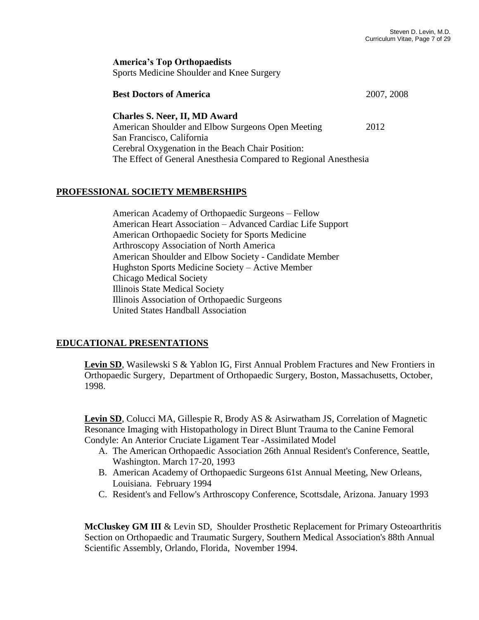**America's Top Orthopaedists** Sports Medicine Shoulder and Knee Surgery

| <b>Best Doctors of America</b>                                   | 2007, 2008 |
|------------------------------------------------------------------|------------|
| <b>Charles S. Neer, II, MD Award</b>                             |            |
| American Shoulder and Elbow Surgeons Open Meeting                | 2012       |
| San Francisco, California                                        |            |
| Cerebral Oxygenation in the Beach Chair Position:                |            |
| The Effect of General Anesthesia Compared to Regional Anesthesia |            |

#### **PROFESSIONAL SOCIETY MEMBERSHIPS**

American Academy of Orthopaedic Surgeons – Fellow American Heart Association – Advanced Cardiac Life Support American Orthopaedic Society for Sports Medicine Arthroscopy Association of North America American Shoulder and Elbow Society - Candidate Member Hughston Sports Medicine Society – Active Member Chicago Medical Society Illinois State Medical Society Illinois Association of Orthopaedic Surgeons United States Handball Association

### **EDUCATIONAL PRESENTATIONS**

Levin SD, Wasilewski S & Yablon IG, First Annual Problem Fractures and New Frontiers in Orthopaedic Surgery, Department of Orthopaedic Surgery, Boston, Massachusetts, October, 1998.

**Levin SD**, Colucci MA, Gillespie R, Brody AS & Asirwatham JS, Correlation of Magnetic Resonance Imaging with Histopathology in Direct Blunt Trauma to the Canine Femoral Condyle: An Anterior Cruciate Ligament Tear -Assimilated Model

- A. The American Orthopaedic Association 26th Annual Resident's Conference, Seattle, Washington. March 17-20, 1993
- B. American Academy of Orthopaedic Surgeons 61st Annual Meeting, New Orleans, Louisiana. February 1994
- C. Resident's and Fellow's Arthroscopy Conference, Scottsdale, Arizona. January 1993

**McCluskey GM III** & Levin SD, Shoulder Prosthetic Replacement for Primary Osteoarthritis Section on Orthopaedic and Traumatic Surgery, Southern Medical Association's 88th Annual Scientific Assembly, Orlando, Florida, November 1994.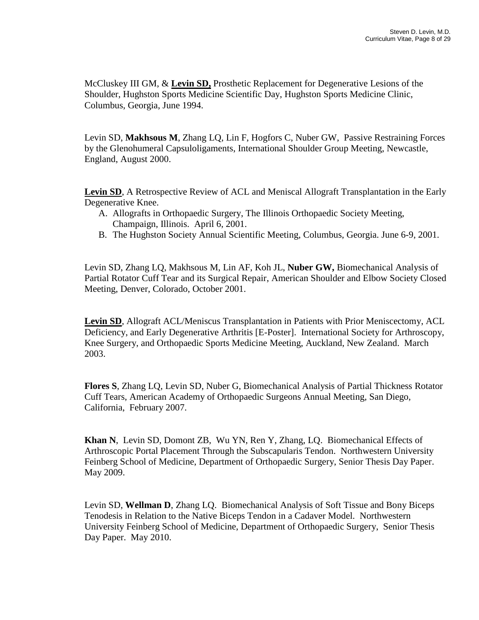McCluskey III GM, & **Levin SD,** Prosthetic Replacement for Degenerative Lesions of the Shoulder, Hughston Sports Medicine Scientific Day, Hughston Sports Medicine Clinic, Columbus, Georgia, June 1994.

Levin SD, **Makhsous M**, Zhang LQ, Lin F, Hogfors C, Nuber GW, Passive Restraining Forces by the Glenohumeral Capsuloligaments, International Shoulder Group Meeting, Newcastle, England, August 2000.

**Levin SD**, A Retrospective Review of ACL and Meniscal Allograft Transplantation in the Early Degenerative Knee.

- A. Allografts in Orthopaedic Surgery, The Illinois Orthopaedic Society Meeting, Champaign, Illinois. April 6, 2001.
- B. The Hughston Society Annual Scientific Meeting, Columbus, Georgia. June 6-9, 2001.

Levin SD, Zhang LQ, Makhsous M, Lin AF, Koh JL, **Nuber GW,** Biomechanical Analysis of Partial Rotator Cuff Tear and its Surgical Repair, American Shoulder and Elbow Society Closed Meeting, Denver, Colorado, October 2001.

**Levin SD**, Allograft ACL/Meniscus Transplantation in Patients with Prior Meniscectomy, ACL Deficiency, and Early Degenerative Arthritis [E-Poster]. International Society for Arthroscopy, Knee Surgery, and Orthopaedic Sports Medicine Meeting, Auckland, New Zealand. March 2003.

**Flores S**, Zhang LQ, Levin SD, Nuber G, Biomechanical Analysis of Partial Thickness Rotator Cuff Tears, American Academy of Orthopaedic Surgeons Annual Meeting, San Diego, California, February 2007.

**Khan N**, Levin SD, Domont ZB, Wu YN, Ren Y, Zhang, LQ. Biomechanical Effects of Arthroscopic Portal Placement Through the Subscapularis Tendon. Northwestern University Feinberg School of Medicine, Department of Orthopaedic Surgery, Senior Thesis Day Paper. May 2009.

Levin SD, **Wellman D**, Zhang LQ. Biomechanical Analysis of Soft Tissue and Bony Biceps Tenodesis in Relation to the Native Biceps Tendon in a Cadaver Model. Northwestern University Feinberg School of Medicine, Department of Orthopaedic Surgery, Senior Thesis Day Paper. May 2010.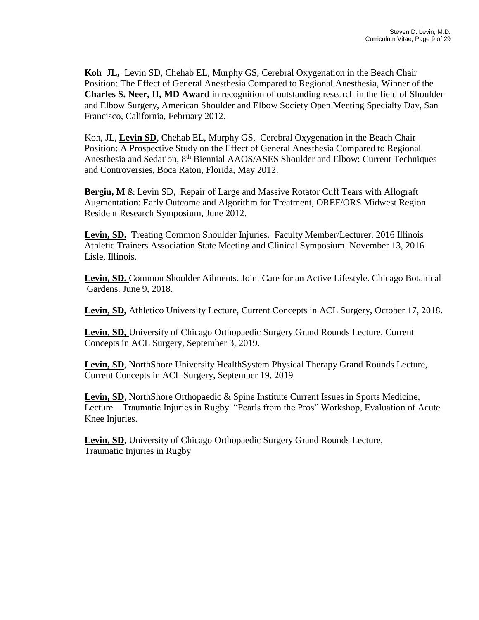**Koh JL,** Levin SD, Chehab EL, Murphy GS, Cerebral Oxygenation in the Beach Chair Position: The Effect of General Anesthesia Compared to Regional Anesthesia, Winner of the **Charles S. Neer, II, MD Award** in recognition of outstanding research in the field of Shoulder and Elbow Surgery, American Shoulder and Elbow Society Open Meeting Specialty Day, San Francisco, California, February 2012.

Koh, JL, **Levin SD**, Chehab EL, Murphy GS, Cerebral Oxygenation in the Beach Chair Position: A Prospective Study on the Effect of General Anesthesia Compared to Regional Anesthesia and Sedation, 8<sup>th</sup> Biennial AAOS/ASES Shoulder and Elbow: Current Techniques and Controversies, Boca Raton, Florida, May 2012.

**Bergin, M** & Levin SD, Repair of Large and Massive Rotator Cuff Tears with Allograft Augmentation: Early Outcome and Algorithm for Treatment, OREF/ORS Midwest Region Resident Research Symposium, June 2012.

**Levin, SD.** Treating Common Shoulder Injuries. Faculty Member/Lecturer. 2016 Illinois Athletic Trainers Association State Meeting and Clinical Symposium. November 13, 2016 Lisle, Illinois.

**Levin, SD.** Common Shoulder Ailments. Joint Care for an Active Lifestyle. Chicago Botanical Gardens. June 9, 2018.

**Levin, SD,** Athletico University Lecture, Current Concepts in ACL Surgery, October 17, 2018.

**Levin, SD,** University of Chicago Orthopaedic Surgery Grand Rounds Lecture, Current Concepts in ACL Surgery, September 3, 2019.

**Levin, SD**, NorthShore University HealthSystem Physical Therapy Grand Rounds Lecture, Current Concepts in ACL Surgery, September 19, 2019

Levin, SD, NorthShore Orthopaedic & Spine Institute Current Issues in Sports Medicine, Lecture – Traumatic Injuries in Rugby. "Pearls from the Pros" Workshop, Evaluation of Acute Knee Injuries.

**Levin, SD**, University of Chicago Orthopaedic Surgery Grand Rounds Lecture, Traumatic Injuries in Rugby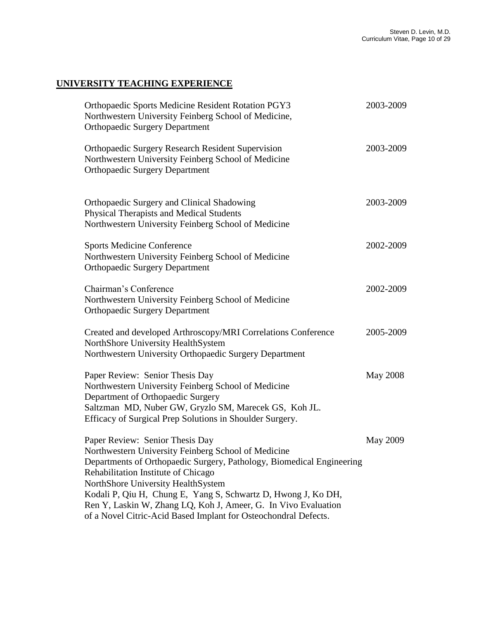# **UNIVERSITY TEACHING EXPERIENCE**

| <b>Orthopaedic Sports Medicine Resident Rotation PGY3</b><br>Northwestern University Feinberg School of Medicine,<br><b>Orthopaedic Surgery Department</b>                                                                                                                                                                                                                                                                                         | 2003-2009       |
|----------------------------------------------------------------------------------------------------------------------------------------------------------------------------------------------------------------------------------------------------------------------------------------------------------------------------------------------------------------------------------------------------------------------------------------------------|-----------------|
| <b>Orthopaedic Surgery Research Resident Supervision</b><br>Northwestern University Feinberg School of Medicine<br><b>Orthopaedic Surgery Department</b>                                                                                                                                                                                                                                                                                           | 2003-2009       |
| Orthopaedic Surgery and Clinical Shadowing<br>Physical Therapists and Medical Students<br>Northwestern University Feinberg School of Medicine                                                                                                                                                                                                                                                                                                      | 2003-2009       |
| <b>Sports Medicine Conference</b><br>Northwestern University Feinberg School of Medicine<br><b>Orthopaedic Surgery Department</b>                                                                                                                                                                                                                                                                                                                  | 2002-2009       |
| Chairman's Conference<br>Northwestern University Feinberg School of Medicine<br><b>Orthopaedic Surgery Department</b>                                                                                                                                                                                                                                                                                                                              | 2002-2009       |
| Created and developed Arthroscopy/MRI Correlations Conference<br>NorthShore University HealthSystem<br>Northwestern University Orthopaedic Surgery Department                                                                                                                                                                                                                                                                                      | 2005-2009       |
| Paper Review: Senior Thesis Day<br>Northwestern University Feinberg School of Medicine<br>Department of Orthopaedic Surgery<br>Saltzman MD, Nuber GW, Gryzlo SM, Marecek GS, Koh JL.<br>Efficacy of Surgical Prep Solutions in Shoulder Surgery.                                                                                                                                                                                                   | <b>May 2008</b> |
| Paper Review: Senior Thesis Day<br>Northwestern University Feinberg School of Medicine<br>Departments of Orthopaedic Surgery, Pathology, Biomedical Engineering<br>Rehabilitation Institute of Chicago<br>NorthShore University HealthSystem<br>Kodali P, Qiu H, Chung E, Yang S, Schwartz D, Hwong J, Ko DH,<br>Ren Y, Laskin W, Zhang LQ, Koh J, Ameer, G. In Vivo Evaluation<br>of a Novel Citric-Acid Based Implant for Osteochondral Defects. | May 2009        |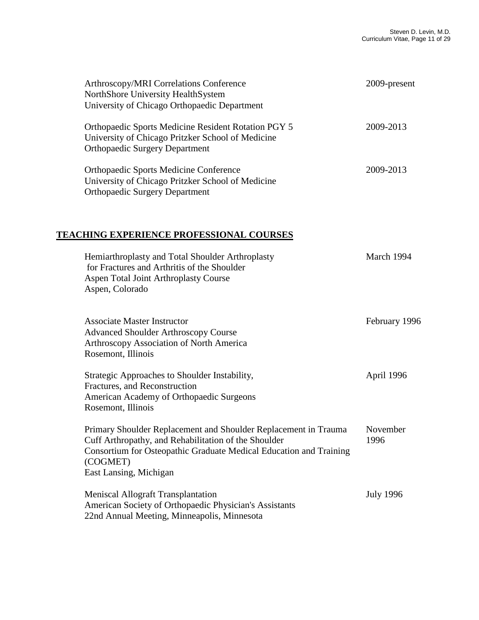| Arthroscopy/MRI Correlations Conference<br>NorthShore University HealthSystem<br>University of Chicago Orthopaedic Department                                                                                                       | 2009-present     |
|-------------------------------------------------------------------------------------------------------------------------------------------------------------------------------------------------------------------------------------|------------------|
| <b>Orthopaedic Sports Medicine Resident Rotation PGY 5</b><br>University of Chicago Pritzker School of Medicine<br><b>Orthopaedic Surgery Department</b>                                                                            | 2009-2013        |
| <b>Orthopaedic Sports Medicine Conference</b><br>University of Chicago Pritzker School of Medicine<br><b>Orthopaedic Surgery Department</b>                                                                                         | 2009-2013        |
| <b>TEACHING EXPERIENCE PROFESSIONAL COURSES</b>                                                                                                                                                                                     |                  |
| Hemiarthroplasty and Total Shoulder Arthroplasty<br>for Fractures and Arthritis of the Shoulder<br>Aspen Total Joint Arthroplasty Course<br>Aspen, Colorado                                                                         | March 1994       |
| <b>Associate Master Instructor</b><br><b>Advanced Shoulder Arthroscopy Course</b><br>Arthroscopy Association of North America<br>Rosemont, Illinois                                                                                 | February 1996    |
| Strategic Approaches to Shoulder Instability,<br>Fractures, and Reconstruction<br>American Academy of Orthopaedic Surgeons<br>Rosemont, Illinois                                                                                    | April 1996       |
| Primary Shoulder Replacement and Shoulder Replacement in Trauma<br>Cuff Arthropathy, and Rehabilitation of the Shoulder<br>Consortium for Osteopathic Graduate Medical Education and Training<br>(COGMET)<br>East Lansing, Michigan | November<br>1996 |
| <b>Meniscal Allograft Transplantation</b><br>American Society of Orthopaedic Physician's Assistants<br>22nd Annual Meeting, Minneapolis, Minnesota                                                                                  | <b>July 1996</b> |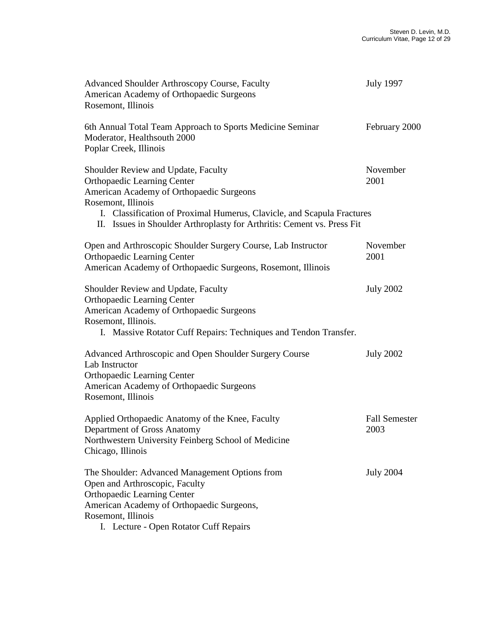| <b>Advanced Shoulder Arthroscopy Course, Faculty</b><br>American Academy of Orthopaedic Surgeons<br>Rosemont, Illinois                                                                                                                                                                           | <b>July 1997</b>             |
|--------------------------------------------------------------------------------------------------------------------------------------------------------------------------------------------------------------------------------------------------------------------------------------------------|------------------------------|
| 6th Annual Total Team Approach to Sports Medicine Seminar<br>Moderator, Healthsouth 2000<br>Poplar Creek, Illinois                                                                                                                                                                               | February 2000                |
| Shoulder Review and Update, Faculty<br><b>Orthopaedic Learning Center</b><br>American Academy of Orthopaedic Surgeons<br>Rosemont, Illinois<br>I. Classification of Proximal Humerus, Clavicle, and Scapula Fractures<br>II. Issues in Shoulder Arthroplasty for Arthritis: Cement vs. Press Fit | November<br>2001             |
| Open and Arthroscopic Shoulder Surgery Course, Lab Instructor<br><b>Orthopaedic Learning Center</b><br>American Academy of Orthopaedic Surgeons, Rosemont, Illinois                                                                                                                              | November<br>2001             |
| Shoulder Review and Update, Faculty<br><b>Orthopaedic Learning Center</b><br>American Academy of Orthopaedic Surgeons<br>Rosemont, Illinois.<br>I. Massive Rotator Cuff Repairs: Techniques and Tendon Transfer.                                                                                 | <b>July 2002</b>             |
| Advanced Arthroscopic and Open Shoulder Surgery Course<br>Lab Instructor<br><b>Orthopaedic Learning Center</b><br>American Academy of Orthopaedic Surgeons<br>Rosemont, Illinois                                                                                                                 | <b>July 2002</b>             |
| Applied Orthopaedic Anatomy of the Knee, Faculty<br>Department of Gross Anatomy<br>Northwestern University Feinberg School of Medicine<br>Chicago, Illinois                                                                                                                                      | <b>Fall Semester</b><br>2003 |
| The Shoulder: Advanced Management Options from<br>Open and Arthroscopic, Faculty<br><b>Orthopaedic Learning Center</b><br>American Academy of Orthopaedic Surgeons,<br>Rosemont, Illinois<br>I. Lecture - Open Rotator Cuff Repairs                                                              | <b>July 2004</b>             |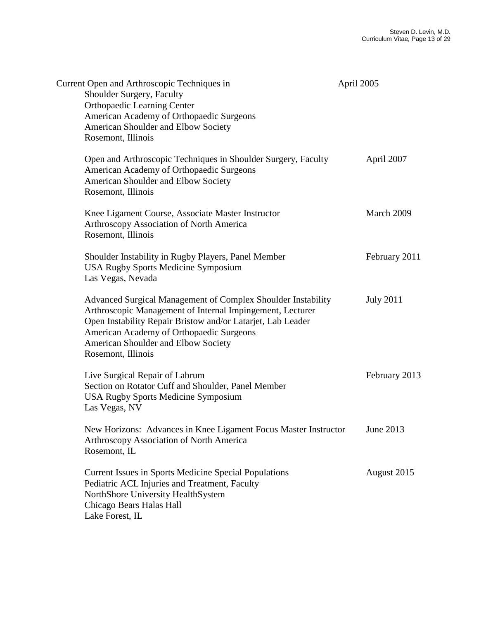| Current Open and Arthroscopic Techniques in<br>Shoulder Surgery, Faculty<br><b>Orthopaedic Learning Center</b><br>American Academy of Orthopaedic Surgeons<br>American Shoulder and Elbow Society<br>Rosemont, Illinois                                                                           | April 2005       |
|---------------------------------------------------------------------------------------------------------------------------------------------------------------------------------------------------------------------------------------------------------------------------------------------------|------------------|
| Open and Arthroscopic Techniques in Shoulder Surgery, Faculty<br>American Academy of Orthopaedic Surgeons<br>American Shoulder and Elbow Society<br>Rosemont, Illinois                                                                                                                            | April 2007       |
| Knee Ligament Course, Associate Master Instructor<br>Arthroscopy Association of North America<br>Rosemont, Illinois                                                                                                                                                                               | March 2009       |
| Shoulder Instability in Rugby Players, Panel Member<br><b>USA Rugby Sports Medicine Symposium</b><br>Las Vegas, Nevada                                                                                                                                                                            | February 2011    |
| Advanced Surgical Management of Complex Shoulder Instability<br>Arthroscopic Management of Internal Impingement, Lecturer<br>Open Instability Repair Bristow and/or Latarjet, Lab Leader<br>American Academy of Orthopaedic Surgeons<br>American Shoulder and Elbow Society<br>Rosemont, Illinois | <b>July 2011</b> |
| Live Surgical Repair of Labrum<br>Section on Rotator Cuff and Shoulder, Panel Member<br><b>USA Rugby Sports Medicine Symposium</b><br>Las Vegas, NV                                                                                                                                               | February 2013    |
| New Horizons: Advances in Knee Ligament Focus Master Instructor<br><b>Arthroscopy Association of North America</b><br>Rosemont, IL                                                                                                                                                                | June 2013        |
| <b>Current Issues in Sports Medicine Special Populations</b><br>Pediatric ACL Injuries and Treatment, Faculty<br>NorthShore University HealthSystem<br>Chicago Bears Halas Hall<br>Lake Forest, IL                                                                                                | August 2015      |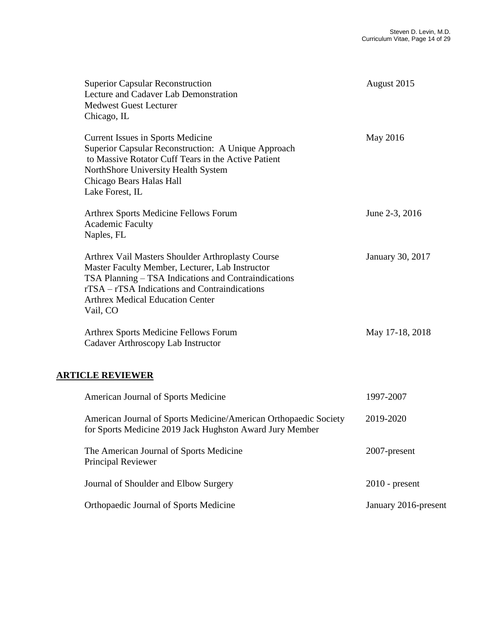| <b>Superior Capsular Reconstruction</b><br>Lecture and Cadaver Lab Demonstration<br><b>Medwest Guest Lecturer</b><br>Chicago, IL                                                                                                                                     | August 2015          |
|----------------------------------------------------------------------------------------------------------------------------------------------------------------------------------------------------------------------------------------------------------------------|----------------------|
| <b>Current Issues in Sports Medicine</b><br>Superior Capsular Reconstruction: A Unique Approach<br>to Massive Rotator Cuff Tears in the Active Patient<br>NorthShore University Health System<br>Chicago Bears Halas Hall<br>Lake Forest, IL                         | May 2016             |
| Arthrex Sports Medicine Fellows Forum<br><b>Academic Faculty</b><br>Naples, FL                                                                                                                                                                                       | June 2-3, 2016       |
| Arthrex Vail Masters Shoulder Arthroplasty Course<br>Master Faculty Member, Lecturer, Lab Instructor<br>TSA Planning - TSA Indications and Contraindications<br>rTSA – rTSA Indications and Contraindications<br><b>Arthrex Medical Education Center</b><br>Vail, CO | January 30, 2017     |
| Arthrex Sports Medicine Fellows Forum<br>Cadaver Arthroscopy Lab Instructor                                                                                                                                                                                          | May 17-18, 2018      |
| <b>ARTICLE REVIEWER</b>                                                                                                                                                                                                                                              |                      |
| American Journal of Sports Medicine                                                                                                                                                                                                                                  | 1997-2007            |
| American Journal of Sports Medicine/American Orthopaedic Society<br>for Sports Medicine 2019 Jack Hughston Award Jury Member                                                                                                                                         | 2019-2020            |
| The American Journal of Sports Medicine<br>Principal Reviewer                                                                                                                                                                                                        | 2007-present         |
| Journal of Shoulder and Elbow Surgery                                                                                                                                                                                                                                | $2010$ - present     |
| Orthopaedic Journal of Sports Medicine                                                                                                                                                                                                                               | January 2016-present |
|                                                                                                                                                                                                                                                                      |                      |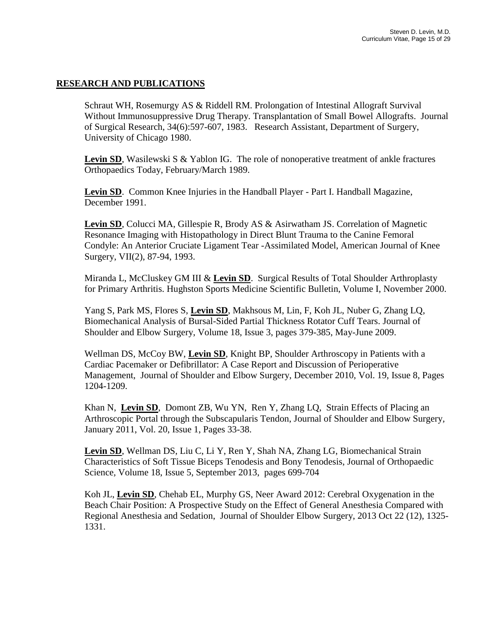#### **RESEARCH AND PUBLICATIONS**

Schraut WH, Rosemurgy AS & Riddell RM. Prolongation of Intestinal Allograft Survival Without Immunosuppressive Drug Therapy. Transplantation of Small Bowel Allografts. Journal of Surgical Research, 34(6):597-607, 1983. Research Assistant, Department of Surgery, University of Chicago 1980.

**Levin SD**, Wasilewski S & Yablon IG. The role of nonoperative treatment of ankle fractures Orthopaedics Today, February/March 1989.

**Levin SD**. Common Knee Injuries in the Handball Player - Part I. Handball Magazine, December 1991.

**Levin SD**, Colucci MA, Gillespie R, Brody AS & Asirwatham JS. Correlation of Magnetic Resonance Imaging with Histopathology in Direct Blunt Trauma to the Canine Femoral Condyle: An Anterior Cruciate Ligament Tear -Assimilated Model, American Journal of Knee Surgery, VII(2), 87-94, 1993.

Miranda L, McCluskey GM III & **Levin SD**. Surgical Results of Total Shoulder Arthroplasty for Primary Arthritis. Hughston Sports Medicine Scientific Bulletin, Volume I, November 2000.

Yang S, Park MS, Flores S, **Levin SD**, Makhsous M, Lin, F, Koh JL, Nuber G, Zhang LQ, Biomechanical Analysis of Bursal-Sided Partial Thickness Rotator Cuff Tears. Journal of Shoulder and Elbow Surgery, Volume 18, Issue 3, pages 379-385, May-June 2009.

Wellman DS, McCoy BW, **Levin SD**, Knight BP, Shoulder Arthroscopy in Patients with a Cardiac Pacemaker or Defibrillator: A Case Report and Discussion of Perioperative Management, Journal of Shoulder and Elbow Surgery, December 2010, Vol. 19, Issue 8, Pages 1204-1209.

Khan N, **Levin SD**, Domont ZB, Wu YN, Ren Y, Zhang LQ, Strain Effects of Placing an Arthroscopic Portal through the Subscapularis Tendon, Journal of Shoulder and Elbow Surgery*,* January 2011, Vol. 20, Issue 1, Pages 33-38.

**Levin SD**, Wellman DS, Liu C, Li Y, Ren Y, Shah NA, Zhang LG, Biomechanical Strain Characteristics of Soft Tissue Biceps Tenodesis and Bony Tenodesis, Journal of Orthopaedic Science*,* Volume 18, Issue 5, September 2013, pages 699-704

Koh JL, **Levin SD**, Chehab EL, Murphy GS, Neer Award 2012: Cerebral Oxygenation in the Beach Chair Position: A Prospective Study on the Effect of General Anesthesia Compared with Regional Anesthesia and Sedation, Journal of Shoulder Elbow Surgery, 2013 Oct 22 (12), 1325- 1331.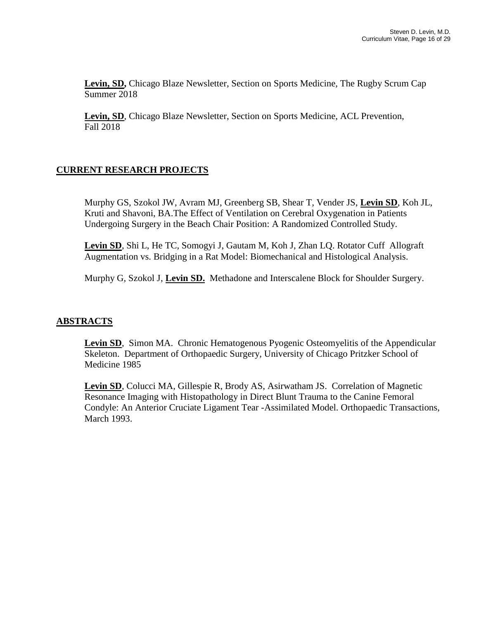**Levin, SD,** Chicago Blaze Newsletter, Section on Sports Medicine, The Rugby Scrum Cap Summer 2018

**Levin, SD**, Chicago Blaze Newsletter, Section on Sports Medicine, ACL Prevention, Fall 2018

### **CURRENT RESEARCH PROJECTS**

Murphy GS, Szokol JW, Avram MJ, Greenberg SB, Shear T, Vender JS, **Levin SD**, Koh JL, Kruti and Shavoni, BA.The Effect of Ventilation on Cerebral Oxygenation in Patients Undergoing Surgery in the Beach Chair Position: A Randomized Controlled Study.

**Levin SD**, Shi L, He TC, Somogyi J, Gautam M, Koh J, Zhan LQ. Rotator Cuff Allograft Augmentation vs. Bridging in a Rat Model: Biomechanical and Histological Analysis.

Murphy G, Szokol J, **Levin SD.** Methadone and Interscalene Block for Shoulder Surgery.

#### **ABSTRACTS**

**Levin SD**, Simon MA. Chronic Hematogenous Pyogenic Osteomyelitis of the Appendicular Skeleton. Department of Orthopaedic Surgery, University of Chicago Pritzker School of Medicine 1985

**Levin SD**, Colucci MA, Gillespie R, Brody AS, Asirwatham JS. Correlation of Magnetic Resonance Imaging with Histopathology in Direct Blunt Trauma to the Canine Femoral Condyle: An Anterior Cruciate Ligament Tear -Assimilated Model. Orthopaedic Transactions, March 1993.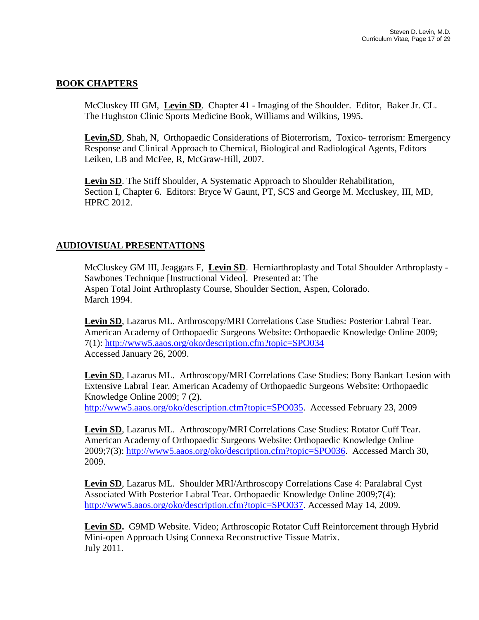### **BOOK CHAPTERS**

McCluskey III GM, **Levin SD**. Chapter 41 - Imaging of the Shoulder. Editor, Baker Jr. CL. The Hughston Clinic Sports Medicine Book, Williams and Wilkins, 1995.

Levin, SD, Shah, N, Orthopaedic Considerations of Bioterrorism, Toxico- terrorism: Emergency Response and Clinical Approach to Chemical, Biological and Radiological Agents, Editors – Leiken, LB and McFee, R, McGraw-Hill, 2007.

**Levin SD**. The Stiff Shoulder, A Systematic Approach to Shoulder Rehabilitation, Section I, Chapter 6. Editors: Bryce W Gaunt, PT, SCS and George M. Mccluskey, III, MD, HPRC 2012.

#### **AUDIOVISUAL PRESENTATIONS**

McCluskey GM III, Jeaggars F, **Levin SD**. Hemiarthroplasty and Total Shoulder Arthroplasty - Sawbones Technique [Instructional Video]. Presented at: The Aspen Total Joint Arthroplasty Course, Shoulder Section, Aspen, Colorado. March 1994.

**Levin SD**, Lazarus ML. Arthroscopy/MRI Correlations Case Studies: Posterior Labral Tear. American Academy of Orthopaedic Surgeons Website: Orthopaedic Knowledge Online 2009; 7(1):<http://www5.aaos.org/oko/description.cfm?topic=SPO034> Accessed January 26, 2009.

**Levin SD**, Lazarus ML. Arthroscopy/MRI Correlations Case Studies: Bony Bankart Lesion with Extensive Labral Tear. American Academy of Orthopaedic Surgeons Website: Orthopaedic Knowledge Online 2009; 7 (2). [http://www5.aaos.org/oko/description.cfm?topic=SPO035.](http://www5.aaos.org/oko/description.cfm?topic=SPO035) Accessed February 23, 2009

**Levin SD**, Lazarus ML. Arthroscopy/MRI Correlations Case Studies: Rotator Cuff Tear. American Academy of Orthopaedic Surgeons Website: Orthopaedic Knowledge Online

2009;7(3): [http://www5.aaos.org/oko/description.cfm?topic=SPO036.](http://www5.aaos.org/oko/description.cfm?topic=SPO036) Accessed March 30, 2009.

**Levin SD**, Lazarus ML. Shoulder MRI/Arthroscopy Correlations Case 4: Paralabral Cyst Associated With Posterior Labral Tear. Orthopaedic Knowledge Online 2009;7(4): [http://www5.aaos.org/oko/description.cfm?topic=SPO037.](http://www5.aaos.org/oko/description.cfm?topic=SPO037) Accessed May 14, 2009.

**Levin SD.** G9MD Website. Video; Arthroscopic Rotator Cuff Reinforcement through Hybrid Mini-open Approach Using Connexa Reconstructive Tissue Matrix. July 2011.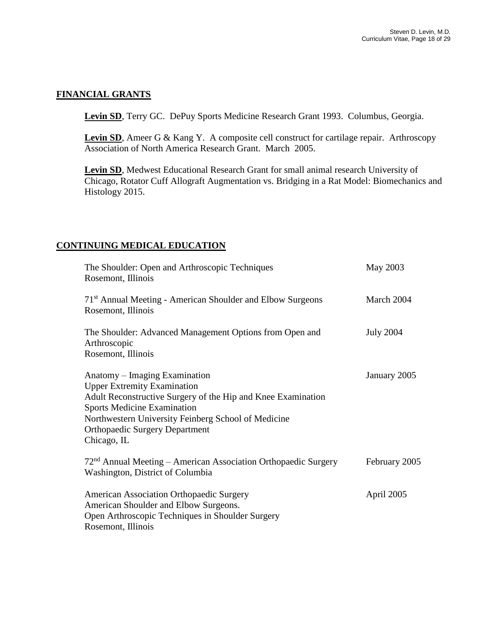#### **FINANCIAL GRANTS**

**Levin SD**, Terry GC. DePuy Sports Medicine Research Grant 1993. Columbus, Georgia.

Levin SD, Ameer G & Kang Y. A composite cell construct for cartilage repair. Arthroscopy Association of North America Research Grant. March 2005.

**Levin SD**, Medwest Educational Research Grant for small animal research University of Chicago, Rotator Cuff Allograft Augmentation vs. Bridging in a Rat Model: Biomechanics and Histology 2015.

#### **CONTINUING MEDICAL EDUCATION**

| The Shoulder: Open and Arthroscopic Techniques<br>Rosemont, Illinois                         | May 2003         |
|----------------------------------------------------------------------------------------------|------------------|
| 71 <sup>st</sup> Annual Meeting - American Shoulder and Elbow Surgeons<br>Rosemont, Illinois | March 2004       |
|                                                                                              |                  |
| The Shoulder: Advanced Management Options from Open and                                      | <b>July 2004</b> |
| Arthroscopic                                                                                 |                  |
| Rosemont, Illinois                                                                           |                  |
| Anatomy – Imaging Examination                                                                | January 2005     |
| <b>Upper Extremity Examination</b>                                                           |                  |
| Adult Reconstructive Surgery of the Hip and Knee Examination                                 |                  |
| <b>Sports Medicine Examination</b>                                                           |                  |
| Northwestern University Feinberg School of Medicine                                          |                  |
| <b>Orthopaedic Surgery Department</b>                                                        |                  |
| Chicago, IL                                                                                  |                  |
| $72nd$ Annual Meeting – American Association Orthopaedic Surgery                             | February 2005    |
| Washington, District of Columbia                                                             |                  |
|                                                                                              |                  |
| <b>American Association Orthopaedic Surgery</b>                                              | April 2005       |
| American Shoulder and Elbow Surgeons.                                                        |                  |
| Open Arthroscopic Techniques in Shoulder Surgery                                             |                  |
| Rosemont, Illinois                                                                           |                  |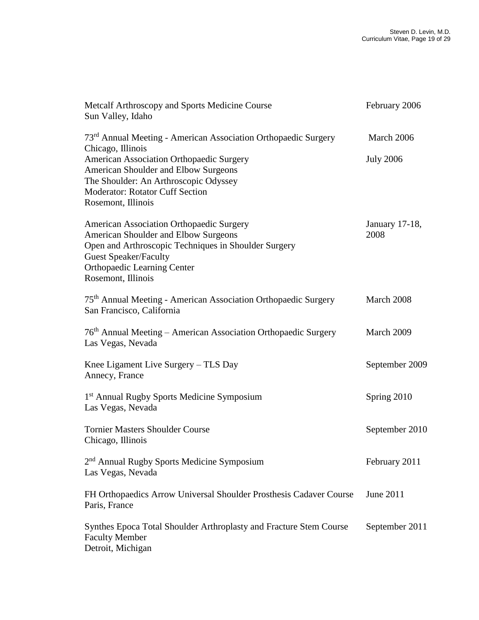| Metcalf Arthroscopy and Sports Medicine Course<br>Sun Valley, Idaho                                                                                                                                                                  | February 2006          |
|--------------------------------------------------------------------------------------------------------------------------------------------------------------------------------------------------------------------------------------|------------------------|
| 73 <sup>rd</sup> Annual Meeting - American Association Orthopaedic Surgery<br>Chicago, Illinois                                                                                                                                      | March 2006             |
| American Association Orthopaedic Surgery<br>American Shoulder and Elbow Surgeons<br>The Shoulder: An Arthroscopic Odyssey<br>Moderator: Rotator Cuff Section<br>Rosemont, Illinois                                                   | <b>July 2006</b>       |
| American Association Orthopaedic Surgery<br>American Shoulder and Elbow Surgeons<br>Open and Arthroscopic Techniques in Shoulder Surgery<br><b>Guest Speaker/Faculty</b><br><b>Orthopaedic Learning Center</b><br>Rosemont, Illinois | January 17-18,<br>2008 |
| 75 <sup>th</sup> Annual Meeting - American Association Orthopaedic Surgery<br>San Francisco, California                                                                                                                              | March 2008             |
| 76 <sup>th</sup> Annual Meeting – American Association Orthopaedic Surgery<br>Las Vegas, Nevada                                                                                                                                      | March 2009             |
| Knee Ligament Live Surgery – TLS Day<br>Annecy, France                                                                                                                                                                               | September 2009         |
| 1 <sup>st</sup> Annual Rugby Sports Medicine Symposium<br>Las Vegas, Nevada                                                                                                                                                          | Spring 2010            |
| <b>Tornier Masters Shoulder Course</b><br>Chicago, Illinois                                                                                                                                                                          | September 2010         |
| 2 <sup>nd</sup> Annual Rugby Sports Medicine Symposium<br>Las Vegas, Nevada                                                                                                                                                          | February 2011          |
| FH Orthopaedics Arrow Universal Shoulder Prosthesis Cadaver Course<br>Paris, France                                                                                                                                                  | June 2011              |
| Synthes Epoca Total Shoulder Arthroplasty and Fracture Stem Course<br><b>Faculty Member</b><br>Detroit, Michigan                                                                                                                     | September 2011         |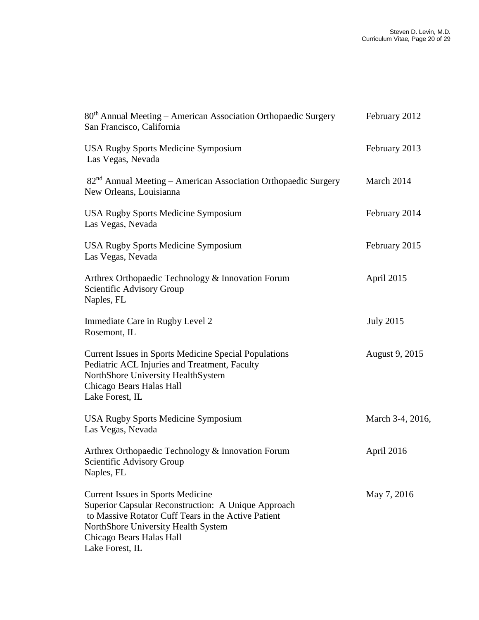| 80 <sup>th</sup> Annual Meeting - American Association Orthopaedic Surgery<br>San Francisco, California                                                                                                                                      | February 2012    |
|----------------------------------------------------------------------------------------------------------------------------------------------------------------------------------------------------------------------------------------------|------------------|
| <b>USA Rugby Sports Medicine Symposium</b><br>Las Vegas, Nevada                                                                                                                                                                              | February 2013    |
| 82 <sup>nd</sup> Annual Meeting - American Association Orthopaedic Surgery<br>New Orleans, Louisianna                                                                                                                                        | March 2014       |
| <b>USA Rugby Sports Medicine Symposium</b><br>Las Vegas, Nevada                                                                                                                                                                              | February 2014    |
| <b>USA Rugby Sports Medicine Symposium</b><br>Las Vegas, Nevada                                                                                                                                                                              | February 2015    |
| Arthrex Orthopaedic Technology & Innovation Forum<br>Scientific Advisory Group<br>Naples, FL                                                                                                                                                 | April 2015       |
| Immediate Care in Rugby Level 2<br>Rosemont, IL                                                                                                                                                                                              | <b>July 2015</b> |
| Current Issues in Sports Medicine Special Populations<br>Pediatric ACL Injuries and Treatment, Faculty<br>NorthShore University HealthSystem<br>Chicago Bears Halas Hall<br>Lake Forest, IL                                                  | August 9, 2015   |
| <b>USA Rugby Sports Medicine Symposium</b><br>Las Vegas, Nevada                                                                                                                                                                              | March 3-4, 2016, |
| Arthrex Orthopaedic Technology & Innovation Forum<br>Scientific Advisory Group<br>Naples, FL                                                                                                                                                 | April 2016       |
| <b>Current Issues in Sports Medicine</b><br>Superior Capsular Reconstruction: A Unique Approach<br>to Massive Rotator Cuff Tears in the Active Patient<br>NorthShore University Health System<br>Chicago Bears Halas Hall<br>Lake Forest, IL | May 7, 2016      |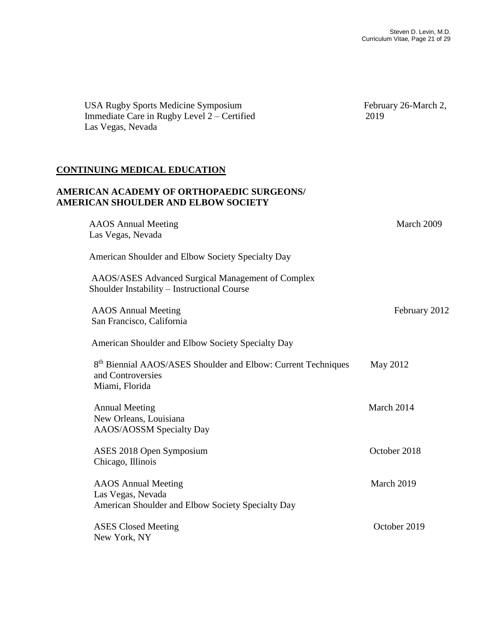USA Rugby Sports Medicine Symposium February 26-March 2, Immediate Care in Rugby Level 2 – Certified 2019 Las Vegas, Nevada **CONTINUING MEDICAL EDUCATION AMERICAN ACADEMY OF ORTHOPAEDIC SURGEONS/ AMERICAN SHOULDER AND ELBOW SOCIETY** AAOS Annual Meeting March 2009 Las Vegas, Nevada American Shoulder and Elbow Society Specialty Day AAOS/ASES Advanced Surgical Management of Complex Shoulder Instability – Instructional Course AAOS Annual Meeting February 2012 San Francisco, California American Shoulder and Elbow Society Specialty Day 8<sup>th</sup> Biennial AAOS/ASES Shoulder and Elbow: Current Techniques May 2012 and Controversies Miami, Florida Annual Meeting March 2014 New Orleans, Louisiana AAOS/AOSSM Specialty Day ASES 2018 Open Symposium October 2018 Chicago, Illinois AAOS Annual Meeting March 2019 Las Vegas, Nevada American Shoulder and Elbow Society Specialty Day ASES Closed Meeting Corollary Corollary Corollary Corollary Corollary Corollary Corollary Corollary Corollary Corollary Corollary Corollary Corollary Corollary Corollary Corollary Corollary Corollary Corollary Corollary Co New York, NY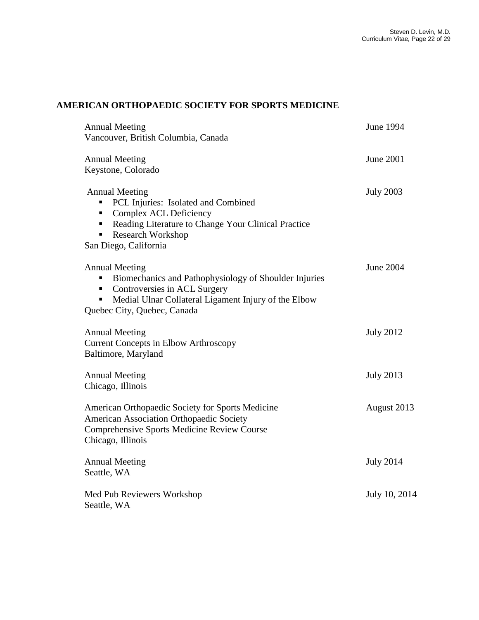# **AMERICAN ORTHOPAEDIC SOCIETY FOR SPORTS MEDICINE**

| <b>Annual Meeting</b>                                     | <b>June 1994</b> |
|-----------------------------------------------------------|------------------|
| Vancouver, British Columbia, Canada                       |                  |
| <b>Annual Meeting</b><br>Keystone, Colorado               | June 2001        |
|                                                           |                  |
| <b>Annual Meeting</b>                                     | <b>July 2003</b> |
| PCL Injuries: Isolated and Combined                       |                  |
| Complex ACL Deficiency<br>п                               |                  |
| Reading Literature to Change Your Clinical Practice<br>п. |                  |
| <b>Research Workshop</b>                                  |                  |
| San Diego, California                                     |                  |
| <b>Annual Meeting</b>                                     | <b>June 2004</b> |
| Biomechanics and Pathophysiology of Shoulder Injuries     |                  |
| Controversies in ACL Surgery<br>п                         |                  |
| Medial Ulnar Collateral Ligament Injury of the Elbow<br>п |                  |
| Quebec City, Quebec, Canada                               |                  |
|                                                           |                  |
| <b>Annual Meeting</b>                                     | <b>July 2012</b> |
| <b>Current Concepts in Elbow Arthroscopy</b>              |                  |
| Baltimore, Maryland                                       |                  |
| <b>Annual Meeting</b>                                     | <b>July 2013</b> |
| Chicago, Illinois                                         |                  |
| American Orthopaedic Society for Sports Medicine          | August 2013      |
| American Association Orthopaedic Society                  |                  |
| Comprehensive Sports Medicine Review Course               |                  |
| Chicago, Illinois                                         |                  |
| <b>Annual Meeting</b>                                     | <b>July 2014</b> |
| Seattle, WA                                               |                  |
| Med Pub Reviewers Workshop                                | July 10, 2014    |
| Seattle, WA                                               |                  |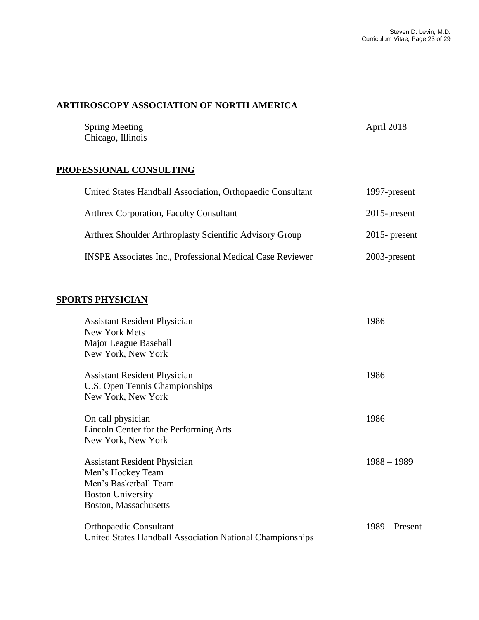# **ARTHROSCOPY ASSOCIATION OF NORTH AMERICA**

| <b>Spring Meeting</b> | April 2018 |
|-----------------------|------------|
| Chicago, Illinois     |            |

#### **PROFESSIONAL CONSULTING**

| United States Handball Association, Orthopaedic Consultant       | 1997-present     |
|------------------------------------------------------------------|------------------|
| <b>Arthrex Corporation, Faculty Consultant</b>                   | $2015$ -present  |
| Arthrex Shoulder Arthroplasty Scientific Advisory Group          | $2015$ - present |
| <b>INSPE Associates Inc., Professional Medical Case Reviewer</b> | 2003-present     |

## **SPORTS PHYSICIAN**

| <b>Assistant Resident Physician</b>                       | 1986             |
|-----------------------------------------------------------|------------------|
| New York Mets                                             |                  |
| Major League Baseball                                     |                  |
| New York, New York                                        |                  |
|                                                           |                  |
| <b>Assistant Resident Physician</b>                       | 1986             |
| U.S. Open Tennis Championships                            |                  |
| New York, New York                                        |                  |
| On call physician                                         | 1986             |
| Lincoln Center for the Performing Arts                    |                  |
| New York, New York                                        |                  |
|                                                           |                  |
| <b>Assistant Resident Physician</b>                       | $1988 - 1989$    |
| Men's Hockey Team                                         |                  |
| Men's Basketball Team                                     |                  |
| <b>Boston University</b>                                  |                  |
| Boston, Massachusetts                                     |                  |
|                                                           |                  |
| <b>Orthopaedic Consultant</b>                             | $1989 -$ Present |
| United States Handball Association National Championships |                  |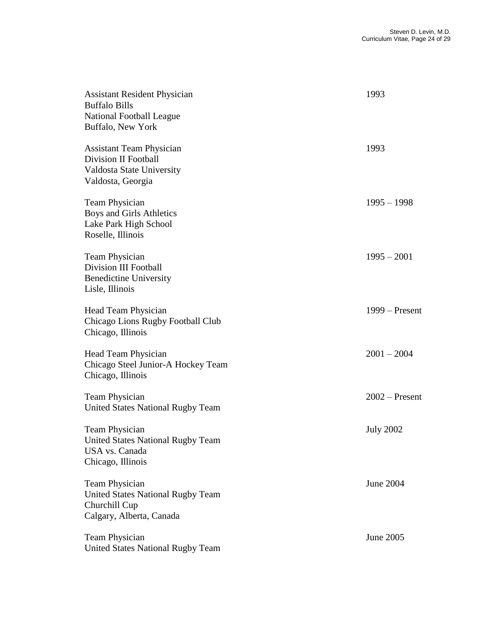| <b>Assistant Resident Physician</b><br><b>Buffalo Bills</b><br><b>National Football League</b><br>Buffalo, New York | 1993             |
|---------------------------------------------------------------------------------------------------------------------|------------------|
| <b>Assistant Team Physician</b><br>Division II Football<br>Valdosta State University<br>Valdosta, Georgia           | 1993             |
| <b>Team Physician</b><br>Boys and Girls Athletics<br>Lake Park High School<br>Roselle, Illinois                     | $1995 - 1998$    |
| <b>Team Physician</b><br>Division III Football<br><b>Benedictine University</b><br>Lisle, Illinois                  | $1995 - 2001$    |
| Head Team Physician<br>Chicago Lions Rugby Football Club<br>Chicago, Illinois                                       | $1999 -$ Present |
| Head Team Physician<br>Chicago Steel Junior-A Hockey Team<br>Chicago, Illinois                                      | $2001 - 2004$    |
| <b>Team Physician</b><br><b>United States National Rugby Team</b>                                                   | $2002$ – Present |
| Team Physician<br><b>United States National Rugby Team</b><br>USA vs. Canada<br>Chicago, Illinois                   | <b>July 2002</b> |
| <b>Team Physician</b><br><b>United States National Rugby Team</b><br>Churchill Cup<br>Calgary, Alberta, Canada      | June 2004        |
| Team Physician<br><b>United States National Rugby Team</b>                                                          | June 2005        |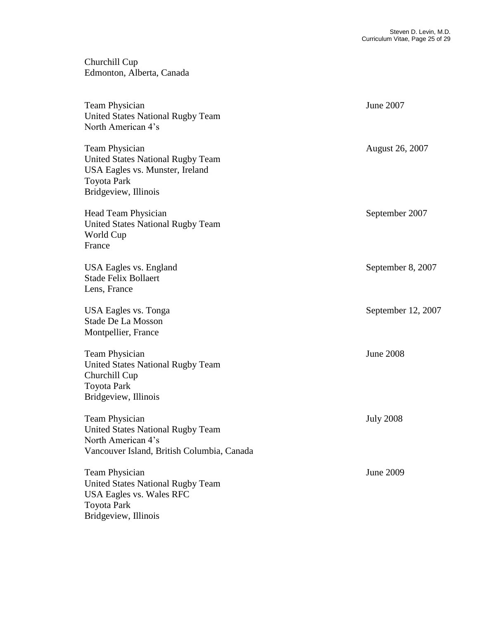Churchill Cup Edmonton, Alberta, Canada

Team Physician June 2007 United States National Rugby Team North American 4's Team Physician August 26, 2007 United States National Rugby Team USA Eagles vs. Munster, Ireland Toyota Park Bridgeview, Illinois Head Team Physician September 2007 United States National Rugby Team World Cup France USA Eagles vs. England September 8, 2007 Stade Felix Bollaert Lens, France USA Eagles vs. Tonga September 12, 2007 Stade De La Mosson Montpellier, France Team Physician June 2008 United States National Rugby Team Churchill Cup Toyota Park Bridgeview, Illinois Team Physician July 2008 United States National Rugby Team North American 4's Vancouver Island, British Columbia, Canada Team Physician June 2009 United States National Rugby Team USA Eagles vs. Wales RFC Toyota Park Bridgeview, Illinois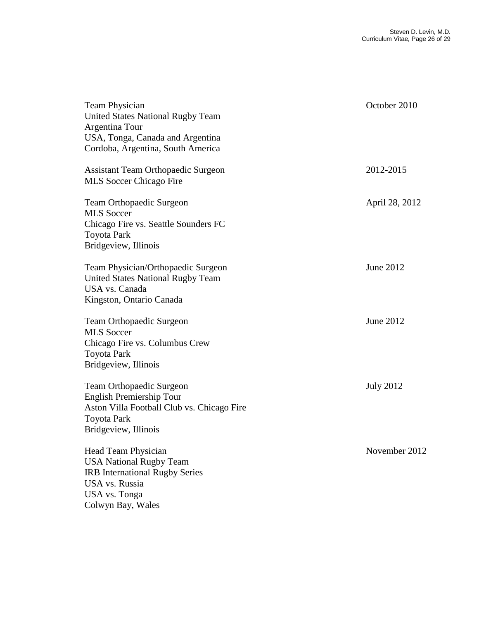| Team Physician<br><b>United States National Rugby Team</b><br>Argentina Tour                                                                                  | October 2010     |
|---------------------------------------------------------------------------------------------------------------------------------------------------------------|------------------|
| USA, Tonga, Canada and Argentina<br>Cordoba, Argentina, South America                                                                                         |                  |
| <b>Assistant Team Orthopaedic Surgeon</b><br>MLS Soccer Chicago Fire                                                                                          | 2012-2015        |
| <b>Team Orthopaedic Surgeon</b><br><b>MLS</b> Soccer<br>Chicago Fire vs. Seattle Sounders FC<br><b>Toyota Park</b><br>Bridgeview, Illinois                    | April 28, 2012   |
| Team Physician/Orthopaedic Surgeon<br><b>United States National Rugby Team</b><br><b>USA</b> vs. Canada<br>Kingston, Ontario Canada                           | June 2012        |
| Team Orthopaedic Surgeon<br><b>MLS</b> Soccer<br>Chicago Fire vs. Columbus Crew<br><b>Toyota Park</b><br>Bridgeview, Illinois                                 | June 2012        |
| Team Orthopaedic Surgeon<br><b>English Premiership Tour</b><br>Aston Villa Football Club vs. Chicago Fire<br><b>Toyota Park</b><br>Bridgeview, Illinois       | <b>July 2012</b> |
| Head Team Physician<br><b>USA National Rugby Team</b><br><b>IRB</b> International Rugby Series<br><b>USA</b> vs. Russia<br>USA vs. Tonga<br>Colwyn Bay, Wales | November 2012    |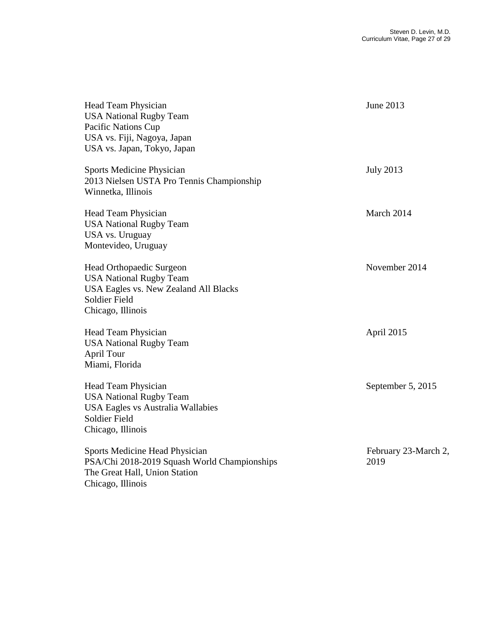| Head Team Physician<br><b>USA National Rugby Team</b><br>Pacific Nations Cup<br>USA vs. Fiji, Nagoya, Japan<br>USA vs. Japan, Tokyo, Japan       | June 2013                    |
|--------------------------------------------------------------------------------------------------------------------------------------------------|------------------------------|
| <b>Sports Medicine Physician</b><br>2013 Nielsen USTA Pro Tennis Championship<br>Winnetka, Illinois                                              | <b>July 2013</b>             |
| Head Team Physician<br><b>USA National Rugby Team</b><br><b>USA</b> vs. Uruguay<br>Montevideo, Uruguay                                           | March 2014                   |
| Head Orthopaedic Surgeon<br><b>USA National Rugby Team</b><br>USA Eagles vs. New Zealand All Blacks<br><b>Soldier Field</b><br>Chicago, Illinois | November 2014                |
| Head Team Physician<br><b>USA National Rugby Team</b><br>April Tour<br>Miami, Florida                                                            | April 2015                   |
| Head Team Physician<br><b>USA National Rugby Team</b><br><b>USA Eagles vs Australia Wallabies</b><br>Soldier Field<br>Chicago, Illinois          | September 5, 2015            |
| Sports Medicine Head Physician<br>PSA/Chi 2018-2019 Squash World Championships<br>The Great Hall, Union Station<br>Chicago, Illinois             | February 23-March 2,<br>2019 |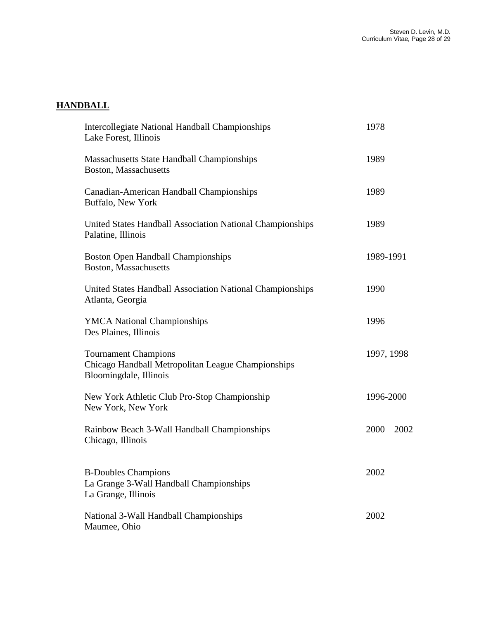# **HANDBALL**

| <b>Intercollegiate National Handball Championships</b><br>Lake Forest, Illinois                             | 1978          |
|-------------------------------------------------------------------------------------------------------------|---------------|
| Massachusetts State Handball Championships<br>Boston, Massachusetts                                         | 1989          |
| Canadian-American Handball Championships<br>Buffalo, New York                                               | 1989          |
| United States Handball Association National Championships<br>Palatine, Illinois                             | 1989          |
| <b>Boston Open Handball Championships</b><br>Boston, Massachusetts                                          | 1989-1991     |
| United States Handball Association National Championships<br>Atlanta, Georgia                               | 1990          |
| <b>YMCA National Championships</b><br>Des Plaines, Illinois                                                 | 1996          |
| <b>Tournament Champions</b><br>Chicago Handball Metropolitan League Championships<br>Bloomingdale, Illinois | 1997, 1998    |
| New York Athletic Club Pro-Stop Championship<br>New York, New York                                          | 1996-2000     |
| Rainbow Beach 3-Wall Handball Championships<br>Chicago, Illinois                                            | $2000 - 2002$ |
| <b>B-Doubles Champions</b><br>La Grange 3-Wall Handball Championships<br>La Grange, Illinois                | 2002          |
| National 3-Wall Handball Championships<br>Maumee, Ohio                                                      | 2002          |